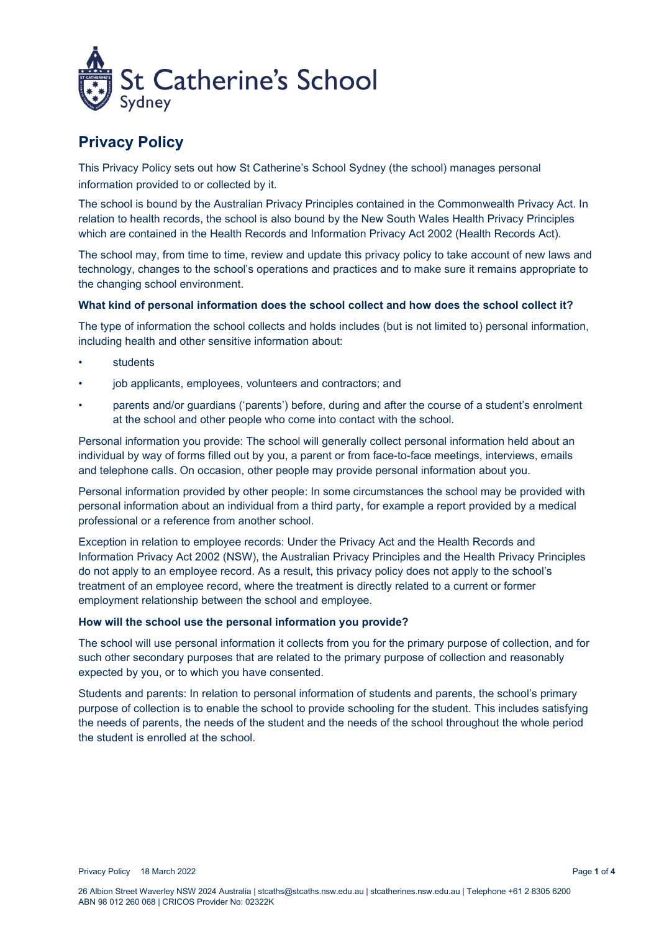

# **Privacy Policy**

This Privacy Policy sets out how St Catherine's School Sydney (the school) manages personal information provided to or collected by it.

The school is bound by the Australian Privacy Principles contained in the Commonwealth Privacy Act. In relation to health records, the school is also bound by the New South Wales Health Privacy Principles which are contained in the Health Records and Information Privacy Act 2002 (Health Records Act).

The school may, from time to time, review and update this privacy policy to take account of new laws and technology, changes to the school's operations and practices and to make sure it remains appropriate to the changing school environment.

## **What kind of personal information does the school collect and how does the school collect it?**

The type of information the school collects and holds includes (but is not limited to) personal information, including health and other sensitive information about:

- **students**
- job applicants, employees, volunteers and contractors; and
- parents and/or guardians ('parents') before, during and after the course of a student's enrolment at the school and other people who come into contact with the school.

Personal information you provide: The school will generally collect personal information held about an individual by way of forms filled out by you, a parent or from face-to-face meetings, interviews, emails and telephone calls. On occasion, other people may provide personal information about you.

Personal information provided by other people: In some circumstances the school may be provided with personal information about an individual from a third party, for example a report provided by a medical professional or a reference from another school.

Exception in relation to employee records: Under the Privacy Act and the Health Records and Information Privacy Act 2002 (NSW), the Australian Privacy Principles and the Health Privacy Principles do not apply to an employee record. As a result, this privacy policy does not apply to the school's treatment of an employee record, where the treatment is directly related to a current or former employment relationship between the school and employee.

### **How will the school use the personal information you provide?**

The school will use personal information it collects from you for the primary purpose of collection, and for such other secondary purposes that are related to the primary purpose of collection and reasonably expected by you, or to which you have consented.

Students and parents: In relation to personal information of students and parents, the school's primary purpose of collection is to enable the school to provide schooling for the student. This includes satisfying the needs of parents, the needs of the student and the needs of the school throughout the whole period the student is enrolled at the school.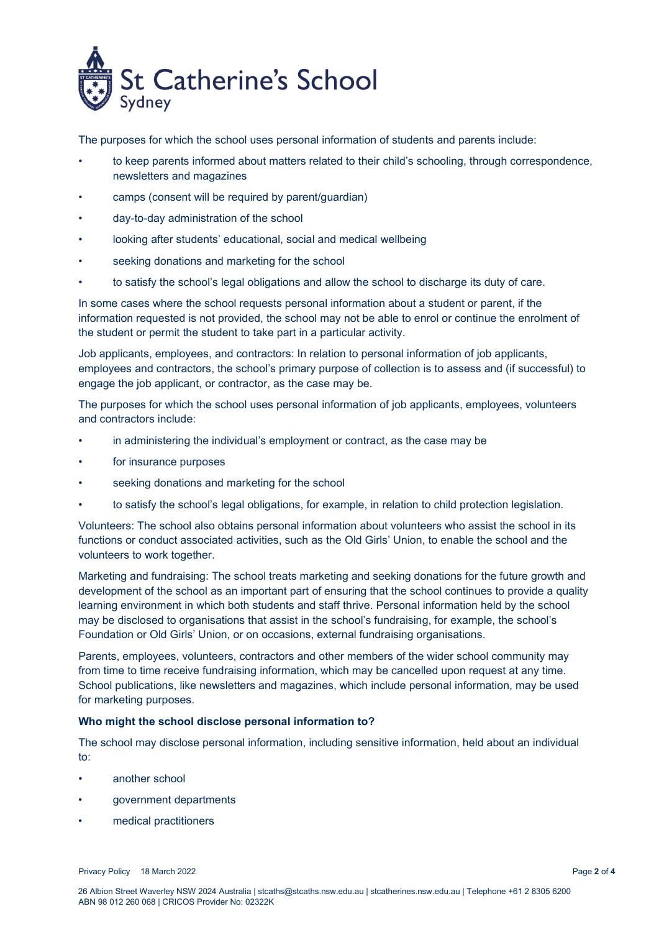

The purposes for which the school uses personal information of students and parents include:

- to keep parents informed about matters related to their child's schooling, through correspondence, newsletters and magazines
- camps (consent will be required by parent/guardian)
- day-to-day administration of the school
- looking after students' educational, social and medical wellbeing
- seeking donations and marketing for the school
- to satisfy the school's legal obligations and allow the school to discharge its duty of care.

In some cases where the school requests personal information about a student or parent, if the information requested is not provided, the school may not be able to enrol or continue the enrolment of the student or permit the student to take part in a particular activity.

Job applicants, employees, and contractors: In relation to personal information of job applicants, employees and contractors, the school's primary purpose of collection is to assess and (if successful) to engage the job applicant, or contractor, as the case may be.

The purposes for which the school uses personal information of job applicants, employees, volunteers and contractors include:

- in administering the individual's employment or contract, as the case may be
- for insurance purposes
- seeking donations and marketing for the school
- to satisfy the school's legal obligations, for example, in relation to child protection legislation.

Volunteers: The school also obtains personal information about volunteers who assist the school in its functions or conduct associated activities, such as the Old Girls' Union, to enable the school and the volunteers to work together.

Marketing and fundraising: The school treats marketing and seeking donations for the future growth and development of the school as an important part of ensuring that the school continues to provide a quality learning environment in which both students and staff thrive. Personal information held by the school may be disclosed to organisations that assist in the school's fundraising, for example, the school's Foundation or Old Girls' Union, or on occasions, external fundraising organisations.

Parents, employees, volunteers, contractors and other members of the wider school community may from time to time receive fundraising information, which may be cancelled upon request at any time. School publications, like newsletters and magazines, which include personal information, may be used for marketing purposes.

### **Who might the school disclose personal information to?**

The school may disclose personal information, including sensitive information, held about an individual to:

- another school
- government departments
- medical practitioners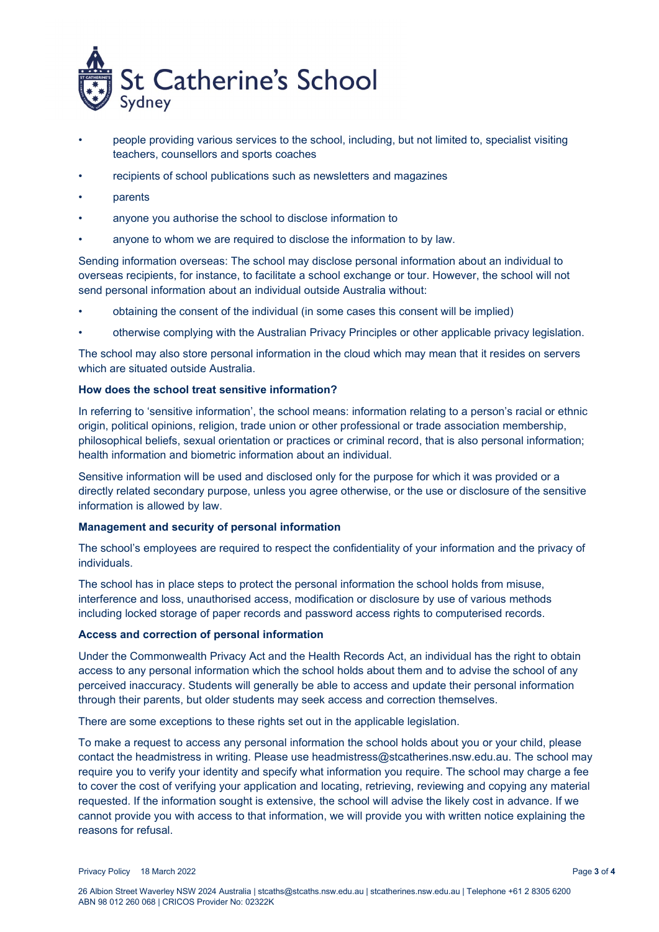

- people providing various services to the school, including, but not limited to, specialist visiting teachers, counsellors and sports coaches
- recipients of school publications such as newsletters and magazines
- parents
- anyone you authorise the school to disclose information to
- anyone to whom we are required to disclose the information to by law.

Sending information overseas: The school may disclose personal information about an individual to overseas recipients, for instance, to facilitate a school exchange or tour. However, the school will not send personal information about an individual outside Australia without:

- obtaining the consent of the individual (in some cases this consent will be implied)
- otherwise complying with the Australian Privacy Principles or other applicable privacy legislation.

The school may also store personal information in the cloud which may mean that it resides on servers which are situated outside Australia.

## **How does the school treat sensitive information?**

In referring to 'sensitive information', the school means: information relating to a person's racial or ethnic origin, political opinions, religion, trade union or other professional or trade association membership, philosophical beliefs, sexual orientation or practices or criminal record, that is also personal information; health information and biometric information about an individual.

Sensitive information will be used and disclosed only for the purpose for which it was provided or a directly related secondary purpose, unless you agree otherwise, or the use or disclosure of the sensitive information is allowed by law.

### **Management and security of personal information**

The school's employees are required to respect the confidentiality of your information and the privacy of individuals.

The school has in place steps to protect the personal information the school holds from misuse, interference and loss, unauthorised access, modification or disclosure by use of various methods including locked storage of paper records and password access rights to computerised records.

## **Access and correction of personal information**

Under the Commonwealth Privacy Act and the Health Records Act, an individual has the right to obtain access to any personal information which the school holds about them and to advise the school of any perceived inaccuracy. Students will generally be able to access and update their personal information through their parents, but older students may seek access and correction themselves.

There are some exceptions to these rights set out in the applicable legislation.

To make a request to access any personal information the school holds about you or your child, please contact the headmistress in writing. Please use headmistress@stcatherines.nsw.edu.au. The school may require you to verify your identity and specify what information you require. The school may charge a fee to cover the cost of verifying your application and locating, retrieving, reviewing and copying any material requested. If the information sought is extensive, the school will advise the likely cost in advance. If we cannot provide you with access to that information, we will provide you with written notice explaining the reasons for refusal.